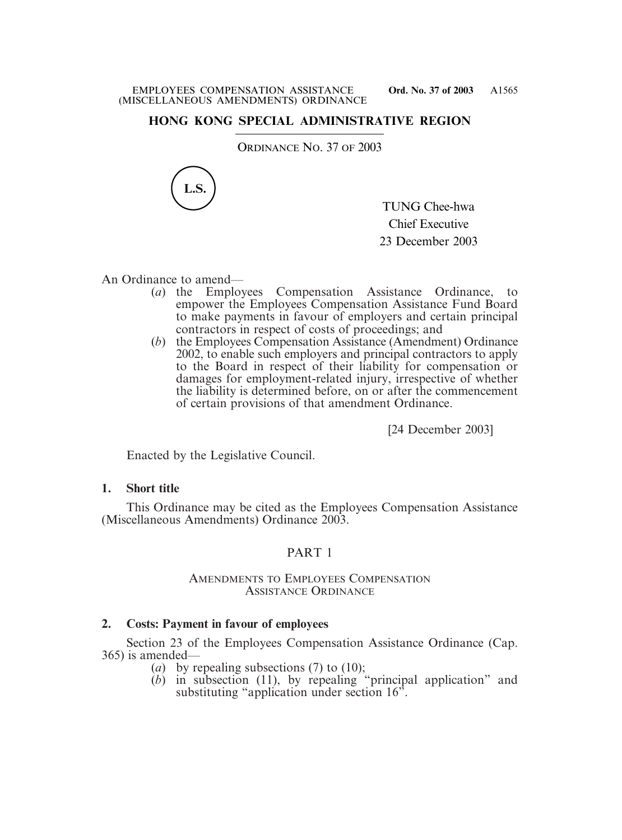## **HONG KONG SPECIAL ADMINISTRATIVE REGION**

ORDINANCE NO. 37 OF 2003



TUNG Chee-hwa Chief Executive 23 December 2003

An Ordinance to amend—

- (*a*) the Employees Compensation Assistance Ordinance, empower the Employees Compensation Assistance Fund Board to make payments in favour of employers and certain principal contractors in respect of costs of proceedings; and
- (*b*) the Employees Compensation Assistance (Amendment) Ordinance 2002, to enable such employers and principal contractors to apply to the Board in respect of their liability for compensation or damages for employment-related injury, irrespective of whether the liability is determined before, on or after the commencement of certain provisions of that amendment Ordinance.

[24 December 2003]

Enacted by the Legislative Council.

### **1. Short title**

This Ordinance may be cited as the Employees Compensation Assistance (Miscellaneous Amendments) Ordinance 2003.

## PART 1

### AMENDMENTS TO EMPLOYEES COMPENSATION ASSISTANCE ORDINANCE

## **2. Costs: Payment in favour of employees**

Section 23 of the Employees Compensation Assistance Ordinance (Cap. 365) is amended—

- (*a*) by repealing subsections (7) to (10);
- $(b)$  in subsection (11), by repealing "principal application" and substituting "application under section 16".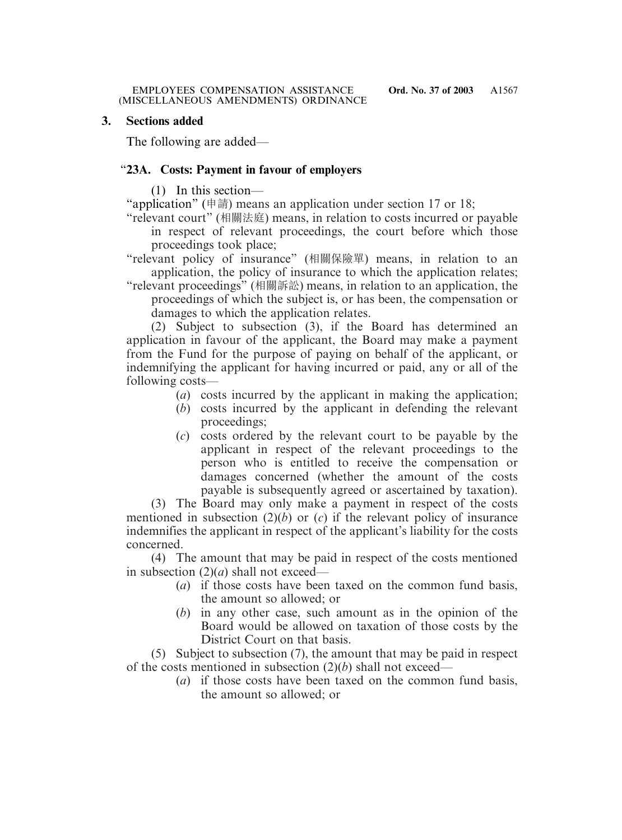### **3. Sections added**

The following are added—

## "**23A. Costs: Payment in favour of employers**

(1) In this section—

"application" (申請) means an application under section 17 or 18;

"relevant court" (相關法庭) means, in relation to costs incurred or payable in respect of relevant proceedings, the court before which those proceedings took place;

"relevant policy of insurance" (相關保險單) means, in relation to an application, the policy of insurance to which the application relates;

"relevant proceedings" (相關訴訟) means, in relation to an application, the proceedings of which the subject is, or has been, the compensation or damages to which the application relates.

(2) Subject to subsection (3), if the Board has determined an application in favour of the applicant, the Board may make a payment from the Fund for the purpose of paying on behalf of the applicant, or indemnifying the applicant for having incurred or paid, any or all of the following costs—

- (*a*) costs incurred by the applicant in making the application;
- (*b*) costs incurred by the applicant in defending the relevant proceedings;
- (*c*) costs ordered by the relevant court to be payable by the applicant in respect of the relevant proceedings to the person who is entitled to receive the compensation or damages concerned (whether the amount of the costs payable is subsequently agreed or ascertained by taxation).

(3) The Board may only make a payment in respect of the costs mentioned in subsection  $(2)(b)$  or  $(c)$  if the relevant policy of insurance indemnifies the applicant in respect of the applicant's liability for the costs concerned.

(4) The amount that may be paid in respect of the costs mentioned in subsection (2)(*a*) shall not exceed—

- (*a*) if those costs have been taxed on the common fund basis, the amount so allowed; or
- (*b*) in any other case, such amount as in the opinion of the Board would be allowed on taxation of those costs by the District Court on that basis.

(5) Subject to subsection (7), the amount that may be paid in respect of the costs mentioned in subsection (2)(*b*) shall not exceed—

(*a*) if those costs have been taxed on the common fund basis, the amount so allowed; or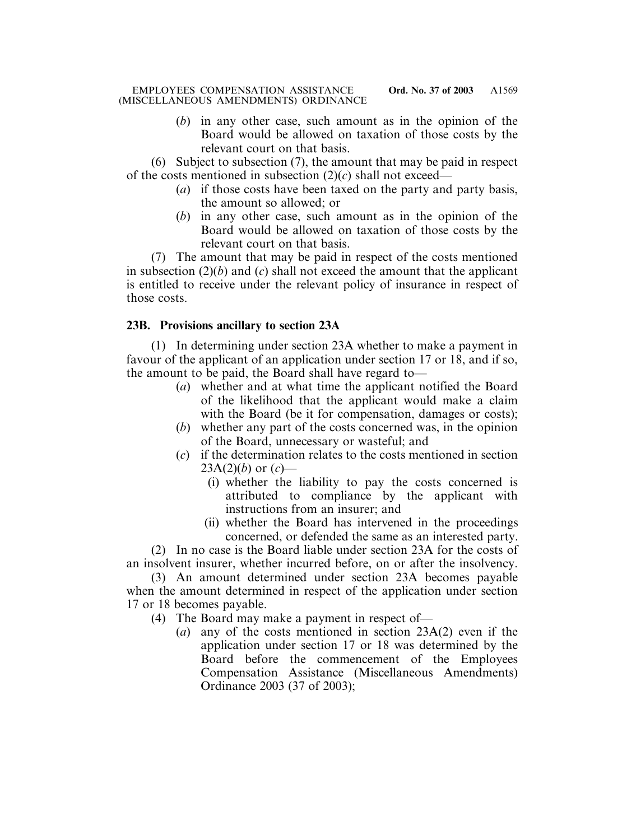(*b*) in any other case, such amount as in the opinion of the Board would be allowed on taxation of those costs by the relevant court on that basis.

(6) Subject to subsection (7), the amount that may be paid in respect of the costs mentioned in subsection  $(2)(c)$  shall not exceed—

- (*a*) if those costs have been taxed on the party and party basis, the amount so allowed; or
- (*b*) in any other case, such amount as in the opinion of the Board would be allowed on taxation of those costs by the relevant court on that basis.

(7) The amount that may be paid in respect of the costs mentioned in subsection  $(2)(b)$  and  $(c)$  shall not exceed the amount that the applicant is entitled to receive under the relevant policy of insurance in respect of those costs.

# **23B. Provisions ancillary to section 23A**

(1) In determining under section 23A whether to make a payment in favour of the applicant of an application under section 17 or 18, and if so, the amount to be paid, the Board shall have regard to—

- (*a*) whether and at what time the applicant notified the Board of the likelihood that the applicant would make a claim with the Board (be it for compensation, damages or costs);
- (*b*) whether any part of the costs concerned was, in the opinion of the Board, unnecessary or wasteful; and
- (*c*) if the determination relates to the costs mentioned in section  $23A(2)(b)$  or  $(c)$ —
	- (i) whether the liability to pay the costs concerned is attributed to compliance by the applicant with instructions from an insurer; and
	- (ii) whether the Board has intervened in the proceedings concerned, or defended the same as an interested party.

(2) In no case is the Board liable under section 23A for the costs of an insolvent insurer, whether incurred before, on or after the insolvency.

(3) An amount determined under section 23A becomes payable when the amount determined in respect of the application under section 17 or 18 becomes payable.

- (4) The Board may make a payment in respect of—
	- (*a*) any of the costs mentioned in section 23A(2) even if the application under section 17 or 18 was determined by the Board before the commencement of the Employees Compensation Assistance (Miscellaneous Amendments) Ordinance 2003 (37 of 2003);